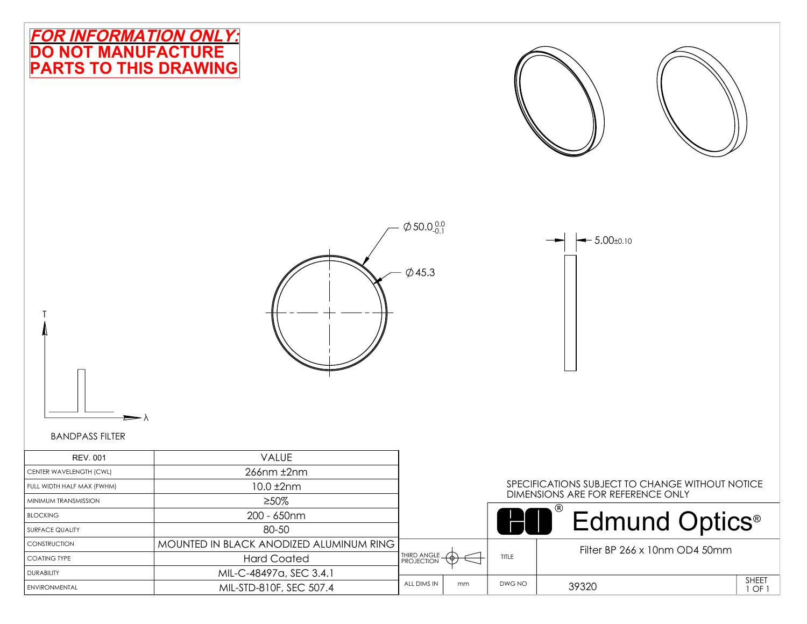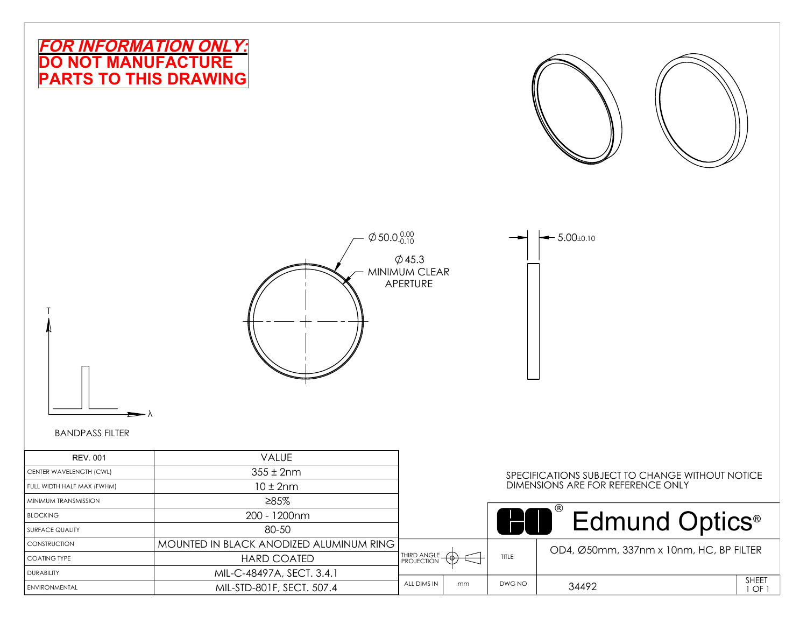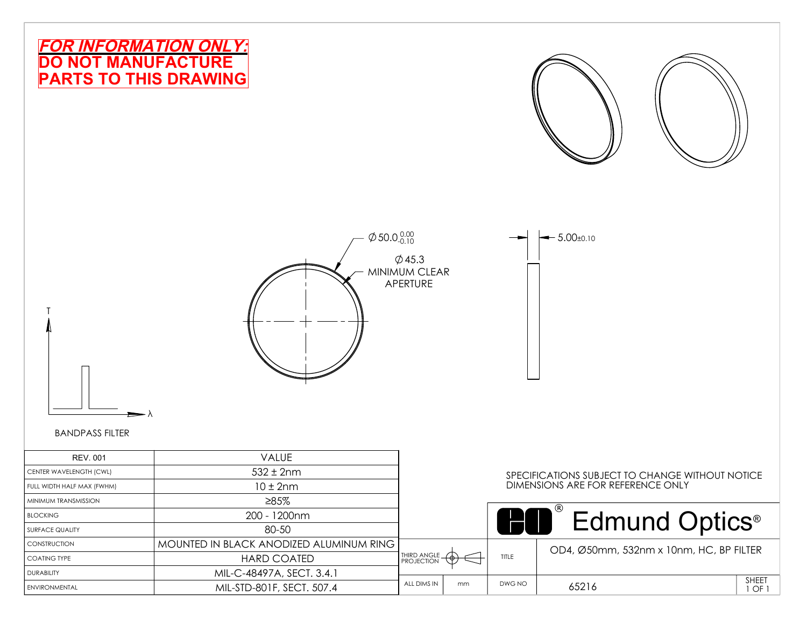